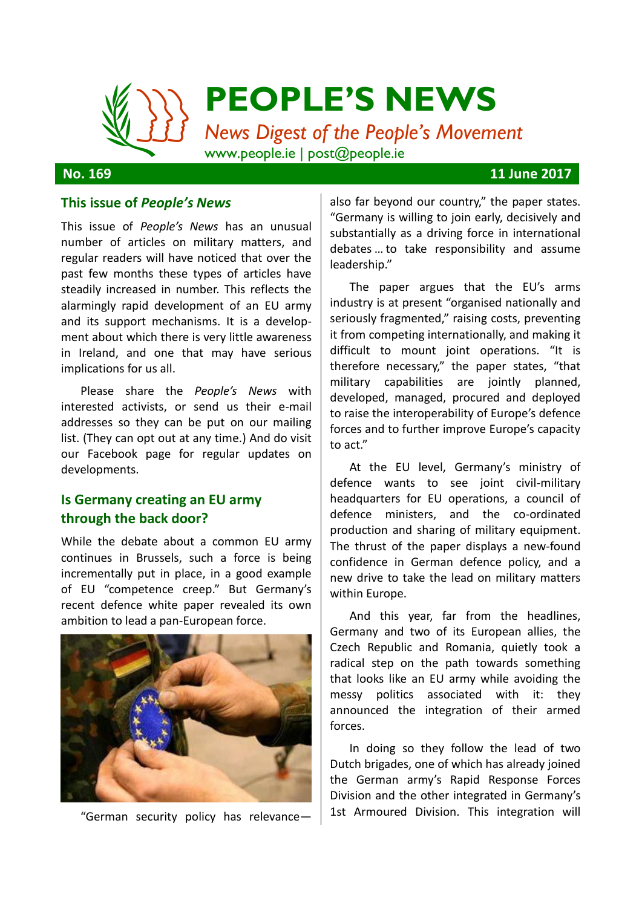

**No. 169 11 June 2017**

#### **This issue of** *People's News*

This issue of *People's News* has an unusual number of articles on military matters, and regular readers will have noticed that over the past few months these types of articles have steadily increased in number. This reflects the alarmingly rapid development of an EU army and its support mechanisms. It is a development about which there is very little awareness in Ireland, and one that may have serious implications for us all.

Please share the *People's News* with interested activists, or send us their e-mail addresses so they can be put on our mailing list. (They can opt out at any time.) And do visit our Facebook page for regular updates on developments.

# **Is Germany creating an EU army through the back door?**

While the debate about a common EU army continues in Brussels, such a force is being incrementally put in place, in a good example of EU "competence creep." But Germany's recent defence white paper revealed its own ambition to lead a pan-European force.



"German security policy has relevance—

also far beyond our country," the paper states. "Germany is willing to join early, decisively and substantially as a driving force in international debates … to take responsibility and assume leadership."

The paper argues that the EU's arms industry is at present "organised nationally and seriously fragmented," raising costs, preventing it from competing internationally, and making it difficult to mount joint operations. "It is therefore necessary," the paper states, "that military capabilities are jointly planned, developed, managed, procured and deployed to raise the interoperability of Europe's defence forces and to further improve Europe's capacity to act."

At the EU level, Germany's ministry of defence wants to see joint civil-military headquarters for EU operations, a council of defence ministers, and the co-ordinated production and sharing of military equipment. The thrust of the paper displays a new-found confidence in German defence policy, and a new drive to take the lead on military matters within Europe.

And this year, far from the headlines, Germany and two of its European allies, the Czech Republic and Romania, quietly took a radical step on the path towards something that looks like an EU army while avoiding the messy politics associated with it: they announced the integration of their armed forces.

In doing so they follow the lead of two Dutch brigades, one of which has already joined the German army's Rapid Response Forces Division and the other integrated in Germany's 1st Armoured Division. This integration will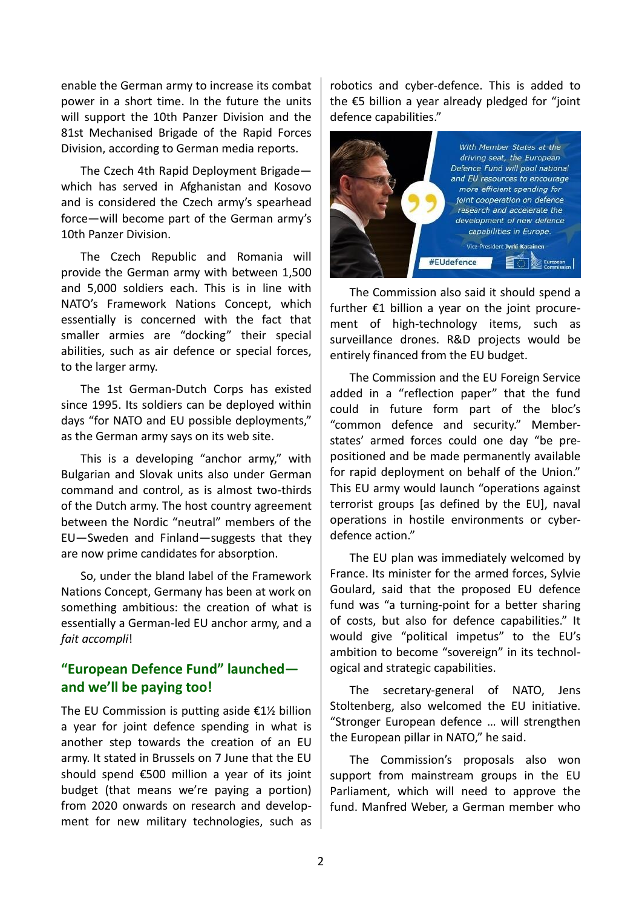enable the German army to increase its combat power in a short time. In the future the units will support the 10th Panzer Division and the 81st Mechanised Brigade of the Rapid Forces Division, according to German media reports.

The Czech 4th Rapid Deployment Brigade which has served in Afghanistan and Kosovo and is considered the Czech army's spearhead force—will become part of the German army's 10th Panzer Division.

The Czech Republic and Romania will provide the German army with between 1,500 and 5,000 soldiers each. This is in line with NATO's Framework Nations Concept, which essentially is concerned with the fact that smaller armies are "docking" their special abilities, such as air defence or special forces, to the larger army.

The 1st German-Dutch Corps has existed since 1995. Its soldiers can be deployed within days "for NATO and EU possible deployments," as the German army says on its web site.

This is a developing "anchor army," with Bulgarian and Slovak units also under German command and control, as is almost two-thirds of the Dutch army. The host country agreement between the Nordic "neutral" members of the EU—Sweden and Finland—suggests that they are now prime candidates for absorption.

So, under the bland label of the Framework Nations Concept, Germany has been at work on something ambitious: the creation of what is essentially a German-led EU anchor army, and a *fait accompli*!

# **"European Defence Fund" launched and we'll be paying too!**

The EU Commission is putting aside  $E1\frac{1}{2}$  billion a year for joint defence spending in what is another step towards the creation of an EU army. It stated in Brussels on 7 June that the EU should spend €500 million a year of its joint budget (that means we're paying a portion) from 2020 onwards on research and development for new military technologies, such as

robotics and cyber-defence. This is added to the €5 billion a year already pledged for "joint defence capabilities."



The Commission also said it should spend a further €1 billion a year on the joint procurement of high-technology items, such as surveillance drones. R&D projects would be entirely financed from the EU budget.

The Commission and the EU Foreign Service added in a "reflection paper" that the fund could in future form part of the bloc's "common defence and security." Memberstates' armed forces could one day "be prepositioned and be made permanently available for rapid deployment on behalf of the Union." This EU army would launch "operations against terrorist groups [as defined by the EU], naval operations in hostile environments or cyberdefence action."

The EU plan was immediately welcomed by France. Its minister for the armed forces, Sylvie Goulard, said that the proposed EU defence fund was "a turning-point for a better sharing of costs, but also for defence capabilities." It would give "political impetus" to the EU's ambition to become "sovereign" in its technological and strategic capabilities.

The secretary-general of NATO, Jens Stoltenberg, also welcomed the EU initiative. "Stronger European defence … will strengthen the European pillar in NATO," he said.

The Commission's proposals also won support from mainstream groups in the EU Parliament, which will need to approve the fund. Manfred Weber, a German member who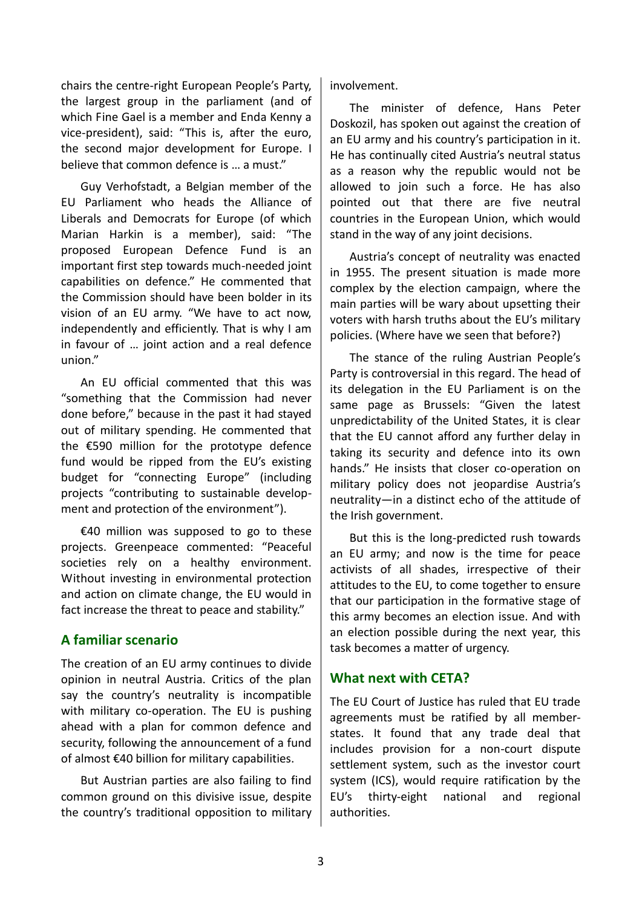chairs the centre-right European People's Party, the largest group in the parliament (and of which Fine Gael is a member and Enda Kenny a vice-president), said: "This is, after the euro, the second major development for Europe. I believe that common defence is … a must."

Guy Verhofstadt, a Belgian member of the EU Parliament who heads the Alliance of Liberals and Democrats for Europe (of which Marian Harkin is a member), said: "The proposed European Defence Fund is an important first step towards much-needed joint capabilities on defence." He commented that the Commission should have been bolder in its vision of an EU army. "We have to act now, independently and efficiently. That is why I am in favour of … joint action and a real defence union."

An EU official commented that this was "something that the Commission had never done before," because in the past it had stayed out of military spending. He commented that the €590 million for the prototype defence fund would be ripped from the EU's existing budget for "connecting Europe" (including projects "contributing to sustainable development and protection of the environment").

€40 million was supposed to go to these projects. Greenpeace commented: "Peaceful societies rely on a healthy environment. Without investing in environmental protection and action on climate change, the EU would in fact increase the threat to peace and stability."

# **A familiar scenario**

The creation of an EU army continues to divide opinion in neutral Austria. Critics of the plan say the country's neutrality is incompatible with military co-operation. The EU is pushing ahead with a plan for common defence and security, following the announcement of a fund of almost €40 billion for military capabilities.

But Austrian parties are also failing to find common ground on this divisive issue, despite the country's traditional opposition to military involvement.

The minister of defence, Hans Peter Doskozil, has spoken out against the creation of an EU army and his country's participation in it. He has continually cited Austria's neutral status as a reason why the republic would not be allowed to join such a force. He has also pointed out that there are five neutral countries in the European Union, which would stand in the way of any joint decisions.

Austria's concept of neutrality was enacted in 1955. The present situation is made more complex by the election campaign, where the main parties will be wary about upsetting their voters with harsh truths about the EU's military policies. (Where have we seen that before?)

The stance of the ruling Austrian People's Party is controversial in this regard. The head of its delegation in the EU Parliament is on the same page as Brussels: "Given the latest unpredictability of the United States, it is clear that the EU cannot afford any further delay in taking its security and defence into its own hands." He insists that closer co-operation on military policy does not jeopardise Austria's neutrality—in a distinct echo of the attitude of the Irish government.

But this is the long-predicted rush towards an EU army; and now is the time for peace activists of all shades, irrespective of their attitudes to the EU, to come together to ensure that our participation in the formative stage of this army becomes an election issue. And with an election possible during the next year, this task becomes a matter of urgency.

# **What next with CETA?**

The EU Court of Justice has ruled that EU trade agreements must be ratified by all memberstates. It found that any trade deal that includes provision for a non-court dispute settlement system, such as the investor court system (ICS), would require ratification by the EU's thirty-eight national and regional authorities.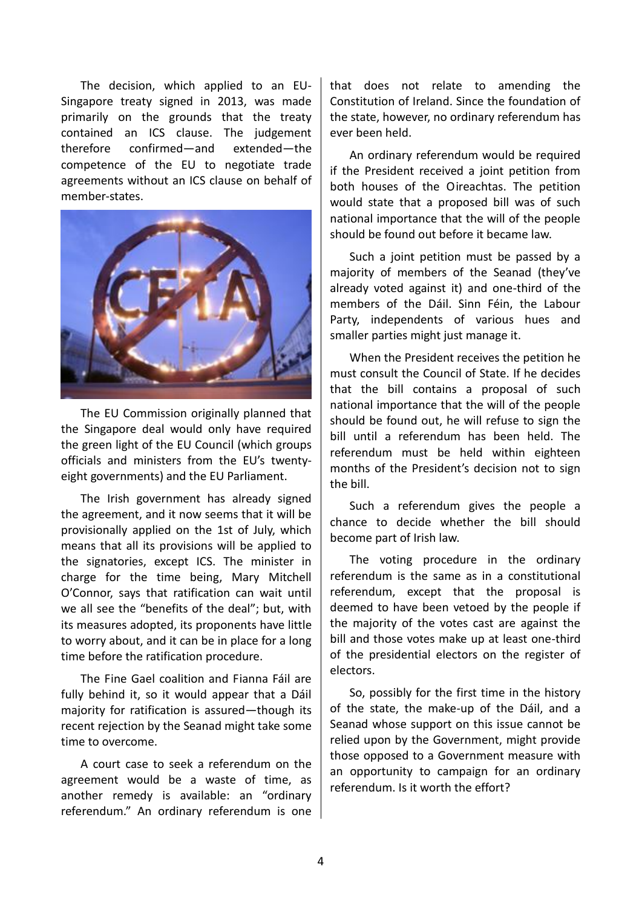The decision, which applied to an EU-Singapore treaty signed in 2013, was made primarily on the grounds that the treaty contained an ICS clause. The judgement therefore confirmed—and extended—the competence of the EU to negotiate trade agreements without an ICS clause on behalf of member-states.



The EU Commission originally planned that the Singapore deal would only have required the green light of the EU Council (which groups officials and ministers from the EU's twentyeight governments) and the EU Parliament.

The Irish government has already signed the agreement, and it now seems that it will be provisionally applied on the 1st of July, which means that all its provisions will be applied to the signatories, except ICS. The minister in charge for the time being, Mary Mitchell O'Connor, says that ratification can wait until we all see the "benefits of the deal"; but, with its measures adopted, its proponents have little to worry about, and it can be in place for a long time before the ratification procedure.

The Fine Gael coalition and Fianna Fáil are fully behind it, so it would appear that a Dáil majority for ratification is assured—though its recent rejection by the Seanad might take some time to overcome.

A court case to seek a referendum on the agreement would be a waste of time, as another remedy is available: an "ordinary referendum." An ordinary referendum is one that does not relate to amending the Constitution of Ireland. Since the foundation of the state, however, no ordinary referendum has ever been held.

An ordinary referendum would be required if the President received a joint petition from both houses of the Oireachtas. The petition would state that a proposed bill was of such national importance that the will of the people should be found out before it became law.

Such a joint petition must be passed by a majority of members of the Seanad (they've already voted against it) and one-third of the members of the Dáil. Sinn Féin, the Labour Party, independents of various hues and smaller parties might just manage it.

When the President receives the petition he must consult the Council of State. If he decides that the bill contains a proposal of such national importance that the will of the people should be found out, he will refuse to sign the bill until a referendum has been held. The referendum must be held within eighteen months of the President's decision not to sign the bill.

Such a referendum gives the people a chance to decide whether the bill should become part of Irish law.

The voting procedure in the ordinary referendum is the same as in a constitutional referendum, except that the proposal is deemed to have been vetoed by the people if the majority of the votes cast are against the bill and those votes make up at least one-third of the presidential electors on the register of electors.

So, possibly for the first time in the history of the state, the make-up of the Dáil, and a Seanad whose support on this issue cannot be relied upon by the Government, might provide those opposed to a Government measure with an opportunity to campaign for an ordinary referendum. Is it worth the effort?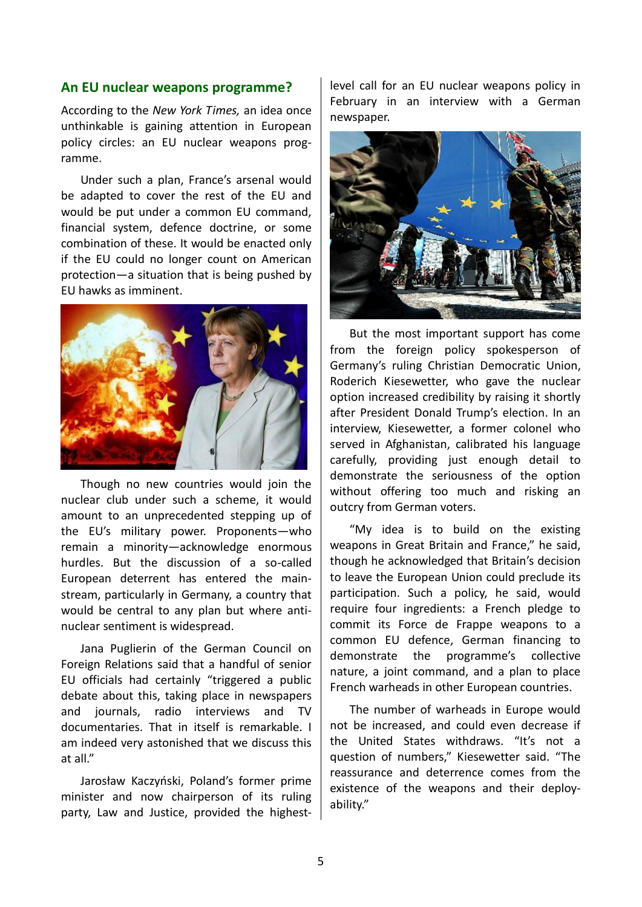#### **An EU nuclear weapons programme?**

According to the *New York Times,* an idea once unthinkable is gaining attention in European policy circles: an EU nuclear weapons programme.

Under such a plan, France's arsenal would be adapted to cover the rest of the EU and would be put under a common EU command, financial system, defence doctrine, or some combination of these. It would be enacted only if the EU could no longer count on American protection—a situation that is being pushed by EU hawks as imminent.



Though no new countries would join the nuclear club under such a scheme, it would amount to an unprecedented stepping up of the EU's military power. Proponents—who remain a minority—acknowledge enormous hurdles. But the discussion of a so-called European deterrent has entered the mainstream, particularly in Germany, a country that would be central to any plan but where antinuclear sentiment is widespread.

Jana Puglierin of the German Council on Foreign Relations said that a handful of senior EU officials had certainly "triggered a public debate about this, taking place in newspapers and journals, radio interviews and TV documentaries. That in itself is remarkable. I am indeed very astonished that we discuss this at all."

Jarosław Kaczyński, Poland's former prime minister and now chairperson of its ruling party, Law and Justice, provided the highestlevel call for an EU nuclear weapons policy in February in an interview with a German newspaper.



But the most important support has come from the foreign policy spokesperson of Germany's ruling Christian Democratic Union, Roderich Kiesewetter, who gave the nuclear option increased credibility by raising it shortly after President Donald Trump's election. In an interview, Kiesewetter, a former colonel who served in Afghanistan, calibrated his language carefully, providing just enough detail to demonstrate the seriousness of the option without offering too much and risking an outcry from German voters.

"My idea is to build on the existing weapons in Great Britain and France," he said, though he acknowledged that Britain's decision to leave the European Union could preclude its participation. Such a policy, he said, would require four ingredients: a French pledge to commit its Force de Frappe weapons to a common EU defence, German financing to demonstrate the programme's collective nature, a joint command, and a plan to place French warheads in other European countries.

The number of warheads in Europe would not be increased, and could even decrease if the United States withdraws. "It's not a question of numbers," Kiesewetter said. "The reassurance and deterrence comes from the existence of the weapons and their deployability."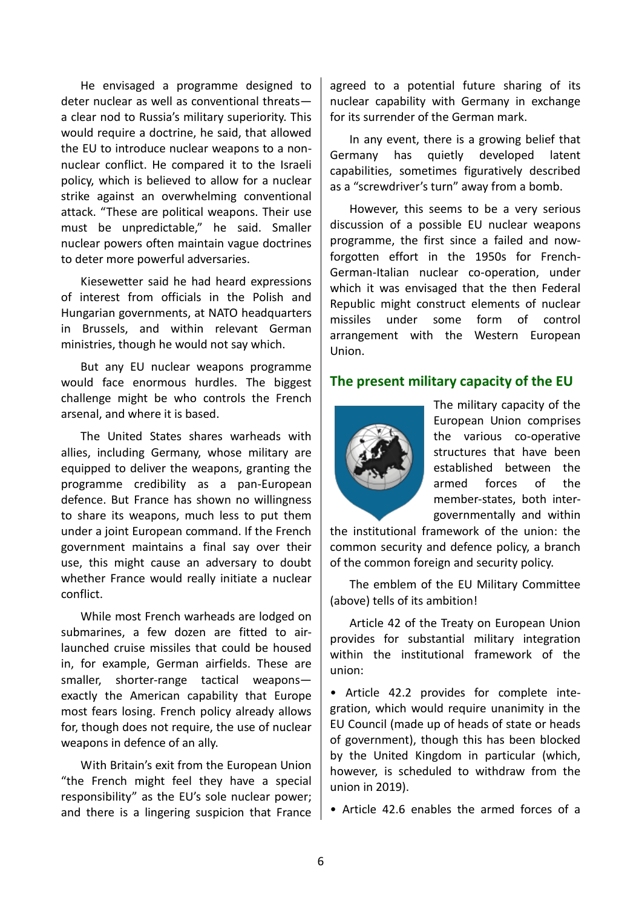He envisaged a programme designed to deter nuclear as well as conventional threats a clear nod to Russia's military superiority. This would require a doctrine, he said, that allowed the EU to introduce nuclear weapons to a nonnuclear conflict. He compared it to the Israeli policy, which is believed to allow for a nuclear strike against an overwhelming conventional attack. "These are political weapons. Their use must be unpredictable," he said. Smaller nuclear powers often maintain vague doctrines to deter more powerful adversaries.

Kiesewetter said he had heard expressions of interest from officials in the Polish and Hungarian governments, at NATO headquarters in Brussels, and within relevant German ministries, though he would not say which.

But any EU nuclear weapons programme would face enormous hurdles. The biggest challenge might be who controls the French arsenal, and where it is based.

The United States shares warheads with allies, including Germany, whose military are equipped to deliver the weapons, granting the programme credibility as a pan-European defence. But France has shown no willingness to share its weapons, much less to put them under a joint European command. If the French government maintains a final say over their use, this might cause an adversary to doubt whether France would really initiate a nuclear conflict.

While most French warheads are lodged on submarines, a few dozen are fitted to airlaunched cruise missiles that could be housed in, for example, German airfields. These are smaller, shorter-range tactical weapons exactly the American capability that Europe most fears losing. French policy already allows for, though does not require, the use of nuclear weapons in defence of an ally.

With Britain's exit from the European Union "the French might feel they have a special responsibility" as the EU's sole nuclear power; and there is a lingering suspicion that France

agreed to a potential future sharing of its nuclear capability with Germany in exchange for its surrender of the German mark.

In any event, there is a growing belief that Germany has quietly developed latent capabilities, sometimes figuratively described as a "screwdriver's turn" away from a bomb.

However, this seems to be a very serious discussion of a possible EU nuclear weapons programme, the first since a failed and nowforgotten effort in the 1950s for French-German-Italian nuclear co-operation, under which it was envisaged that the then Federal Republic might construct elements of nuclear missiles under some form of control arrangement with the Western European Union.

### **The present military capacity of the EU**



The military capacity of the European Union comprises the various co-operative structures that have been established between the armed forces of the member-states, both intergovernmentally and within

the institutional framework of the union: the common security and defence policy, a branch of the common foreign and security policy.

The emblem of the EU Military Committee (above) tells of its ambition!

Article 42 of the Treaty on European Union provides for substantial military integration within the institutional framework of the union:

• Article 42.2 provides for complete integration, which would require unanimity in the EU Council (made up of heads of state or heads of government), though this has been blocked by the United Kingdom in particular (which, however, is scheduled to withdraw from the union in 2019).

• Article 42.6 enables the armed forces of a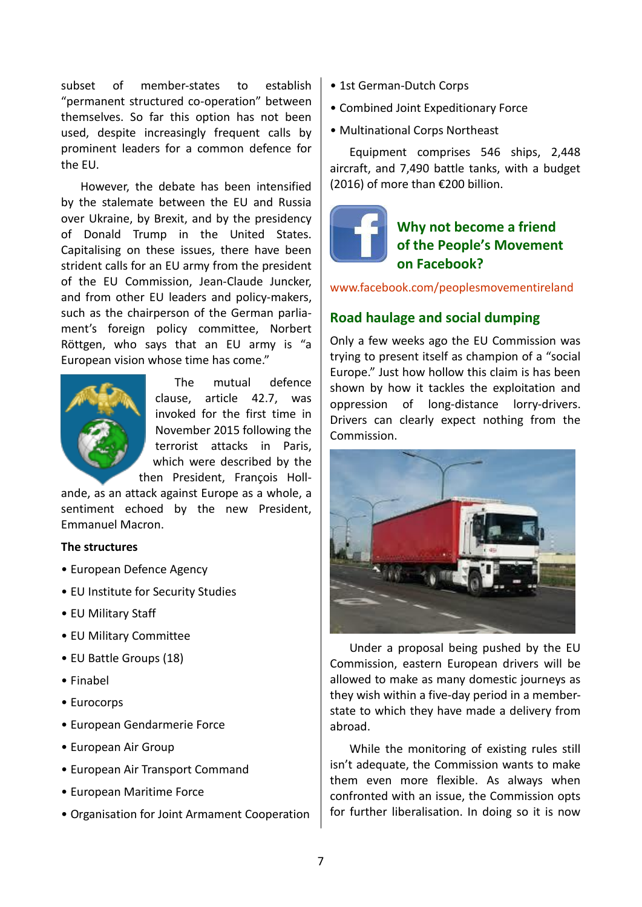subset of member-states to establish "permanent structured co-operation" between themselves. So far this option has not been used, despite increasingly frequent calls by prominent leaders for a common defence for the EU.

However, the debate has been intensified by the stalemate between the EU and Russia over Ukraine, by Brexit, and by the presidency of Donald Trump in the United States. Capitalising on these issues, there have been strident calls for an EU army from the president of the EU Commission, Jean-Claude Juncker, and from other EU leaders and policy-makers, such as the chairperson of the German parliament's foreign policy committee, Norbert Röttgen, who says that an EU army is "a European vision whose time has come."



The mutual defence clause, article 42.7, was invoked for the first time in November 2015 following the terrorist attacks in Paris, which were described by the then President, François Holl-

ande, as an attack against Europe as a whole, a sentiment echoed by the new President, Emmanuel Macron.

#### **The structures**

- [European Defence Agency](https://en.wikipedia.org/wiki/European_Defence_Agency)
- [EU Institute for Security Studies](https://en.wikipedia.org/wiki/European_Union_Institute_for_Security_Studies)
- [EU Military Staff](https://en.wikipedia.org/wiki/European_Union_Military_Staff)
- [EU Military Committee](https://en.wikipedia.org/wiki/European_Union_Military_Committee)
- [EU Battle Groups](https://en.wikipedia.org/wiki/EU_Battlegroup) (18)
- [Finabel](https://en.wikipedia.org/wiki/Finabel)
- [Eurocorps](https://en.wikipedia.org/wiki/Eurocorps)
- [European Gendarmerie Force](https://en.wikipedia.org/wiki/European_Gendarmerie_Force)
- [European Air Group](https://en.wikipedia.org/wiki/European_Air_Group)
- [European Air Transport Command](https://en.wikipedia.org/wiki/European_Air_Transport_Command)
- [European Maritime Force](https://en.wikipedia.org/wiki/European_Maritime_Force)
- [Organisation for Joint Armament Cooperation](https://en.wikipedia.org/wiki/Organisation_for_Joint_Armament_Cooperation)
- [1st German-Dutch Corps](https://en.wikipedia.org/wiki/I._German/Dutch_Corps)
- [Combined Joint Expeditionary Force](https://en.wikipedia.org/wiki/Combined_Joint_Expeditionary_Force)
- [Multinational Corps Northeast](https://en.wikipedia.org/wiki/Multinational_Corps_Northeast)

Equipment comprises 546 ships, 2,448 aircraft, and 7,490 battle tanks, with a budget  $(2016)$  of more than  $\epsilon$ 200 billion.



# **Why not become a friend of the People's Movement on Facebook?**

<www.facebook.com/peoplesmovementireland>

## **Road haulage and social dumping**

Only a few weeks ago the EU Commission was trying to present itself as champion of a "social Europe." Just how hollow this claim is has been shown by how it tackles the exploitation and oppression of long-distance lorry-drivers. Drivers can clearly expect nothing from the Commission.



Under a proposal being pushed by the EU Commission, eastern European drivers will be allowed to make as many domestic journeys as they wish within a five-day period in a memberstate to which they have made a delivery from abroad.

While the monitoring of existing rules still isn't adequate, the Commission wants to make them even more flexible. As always when confronted with an issue, the Commission opts for further liberalisation. In doing so it is now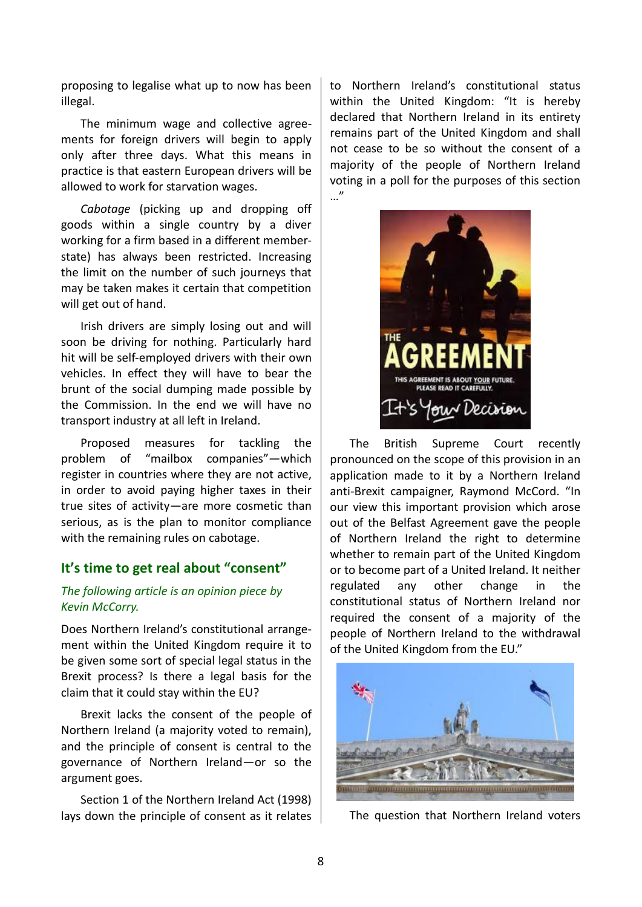proposing to legalise what up to now has been illegal.

The minimum wage and collective agreements for foreign drivers will begin to apply only after three days. What this means in practice is that eastern European drivers will be allowed to work for starvation wages.

*Cabotage* (picking up and dropping off goods within a single country by a diver working for a firm based in a different memberstate) has always been restricted. Increasing the limit on the number of such journeys that may be taken makes it certain that competition will get out of hand.

Irish drivers are simply losing out and will soon be driving for nothing. Particularly hard hit will be self-employed drivers with their own vehicles. In effect they will have to bear the brunt of the social dumping made possible by the Commission. In the end we will have no transport industry at all left in Ireland.

Proposed measures for tackling the problem of "mailbox companies"—which register in countries where they are not active, in order to avoid paying higher taxes in their true sites of activity—are more cosmetic than serious, as is the plan to monitor compliance with the remaining rules on cabotage.

### **It's time to get real about "consent"**

### *The following article is an opinion piece by Kevin McCorry.*

Does Northern Ireland's constitutional arrangement within the United Kingdom require it to be given some sort of special legal status in the Brexit process? Is there a legal basis for the claim that it could stay within the EU?

Brexit lacks the consent of the people of Northern Ireland (a majority voted to remain), and the principle of consent is central to the governance of Northern Ireland—or so the argument goes.

Section 1 of the Northern Ireland Act (1998) lays down the principle of consent as it relates

to Northern Ireland's constitutional status within the United Kingdom: "It is hereby declared that Northern Ireland in its entirety remains part of the United Kingdom and shall not cease to be so without the consent of a majority of the people of Northern Ireland voting in a poll for the purposes of this section …"



The British Supreme Court recently pronounced on the scope of this provision in an application made to it by a Northern Ireland anti-Brexit campaigner, Raymond McCord. "In our view this important provision which arose out of the Belfast Agreement gave the people of Northern Ireland the right to determine whether to remain part of the United Kingdom or to become part of a United Ireland. It neither regulated any other change in the constitutional status of Northern Ireland nor required the consent of a majority of the people of Northern Ireland to the withdrawal of the United Kingdom from the EU."



The question that Northern Ireland voters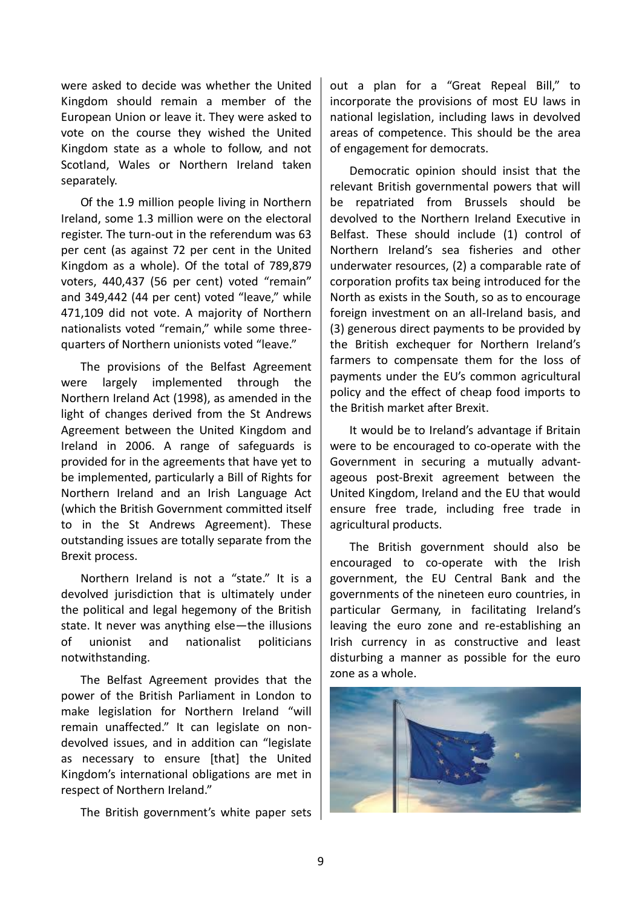were asked to decide was whether the United Kingdom should remain a member of the European Union or leave it. They were asked to vote on the course they wished the United Kingdom state as a whole to follow, and not Scotland, Wales or Northern Ireland taken separately.

Of the 1.9 million people living in Northern Ireland, some 1.3 million were on the electoral register. The turn-out in the referendum was 63 per cent (as against 72 per cent in the United Kingdom as a whole). Of the total of 789,879 voters, 440,437 (56 per cent) voted "remain" and 349,442 (44 per cent) voted "leave," while 471,109 did not vote. A majority of Northern nationalists voted "remain," while some threequarters of Northern unionists voted "leave."

The provisions of the Belfast Agreement were largely implemented through the Northern Ireland Act (1998), as amended in the light of changes derived from the St Andrews Agreement between the United Kingdom and Ireland in 2006. A range of safeguards is provided for in the agreements that have yet to be implemented, particularly a Bill of Rights for Northern Ireland and an Irish Language Act (which the British Government committed itself to in the St Andrews Agreement). These outstanding issues are totally separate from the Brexit process.

Northern Ireland is not a "state." It is a devolved jurisdiction that is ultimately under the political and legal hegemony of the British state. It never was anything else—the illusions of unionist and nationalist politicians notwithstanding.

The Belfast Agreement provides that the power of the British Parliament in London to make legislation for Northern Ireland "will remain unaffected." It can legislate on nondevolved issues, and in addition can "legislate as necessary to ensure [that] the United Kingdom's international obligations are met in respect of Northern Ireland."

The British government's white paper sets

out a plan for a "Great Repeal Bill," to incorporate the provisions of most EU laws in national legislation, including laws in devolved areas of competence. This should be the area of engagement for democrats.

Democratic opinion should insist that the relevant British governmental powers that will be repatriated from Brussels should be devolved to the Northern Ireland Executive in Belfast. These should include (1) control of Northern Ireland's sea fisheries and other underwater resources, (2) a comparable rate of corporation profits tax being introduced for the North as exists in the South, so as to encourage foreign investment on an all-Ireland basis, and (3) generous direct payments to be provided by the British exchequer for Northern Ireland's farmers to compensate them for the loss of payments under the EU's common agricultural policy and the effect of cheap food imports to the British market after Brexit.

It would be to Ireland's advantage if Britain were to be encouraged to co-operate with the Government in securing a mutually advantageous post-Brexit agreement between the United Kingdom, Ireland and the EU that would ensure free trade, including free trade in agricultural products.

The British government should also be encouraged to co-operate with the Irish government, the EU Central Bank and the governments of the nineteen euro countries, in particular Germany, in facilitating Ireland's leaving the euro zone and re-establishing an Irish currency in as constructive and least disturbing a manner as possible for the euro zone as a whole.